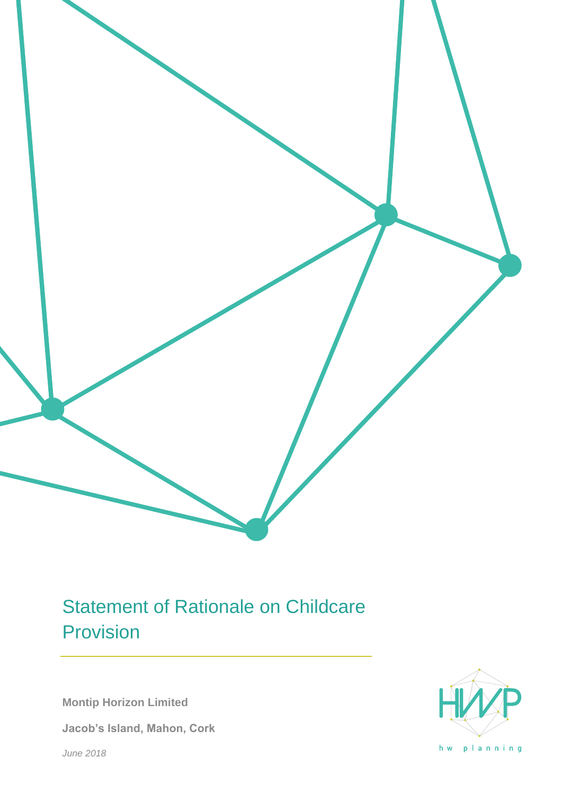# Statement of Rationale on Childcare Provision

**Montip Horizon Limited**

**Jacob's Island, Mahon, Cork**

*June 2018*



hw planning